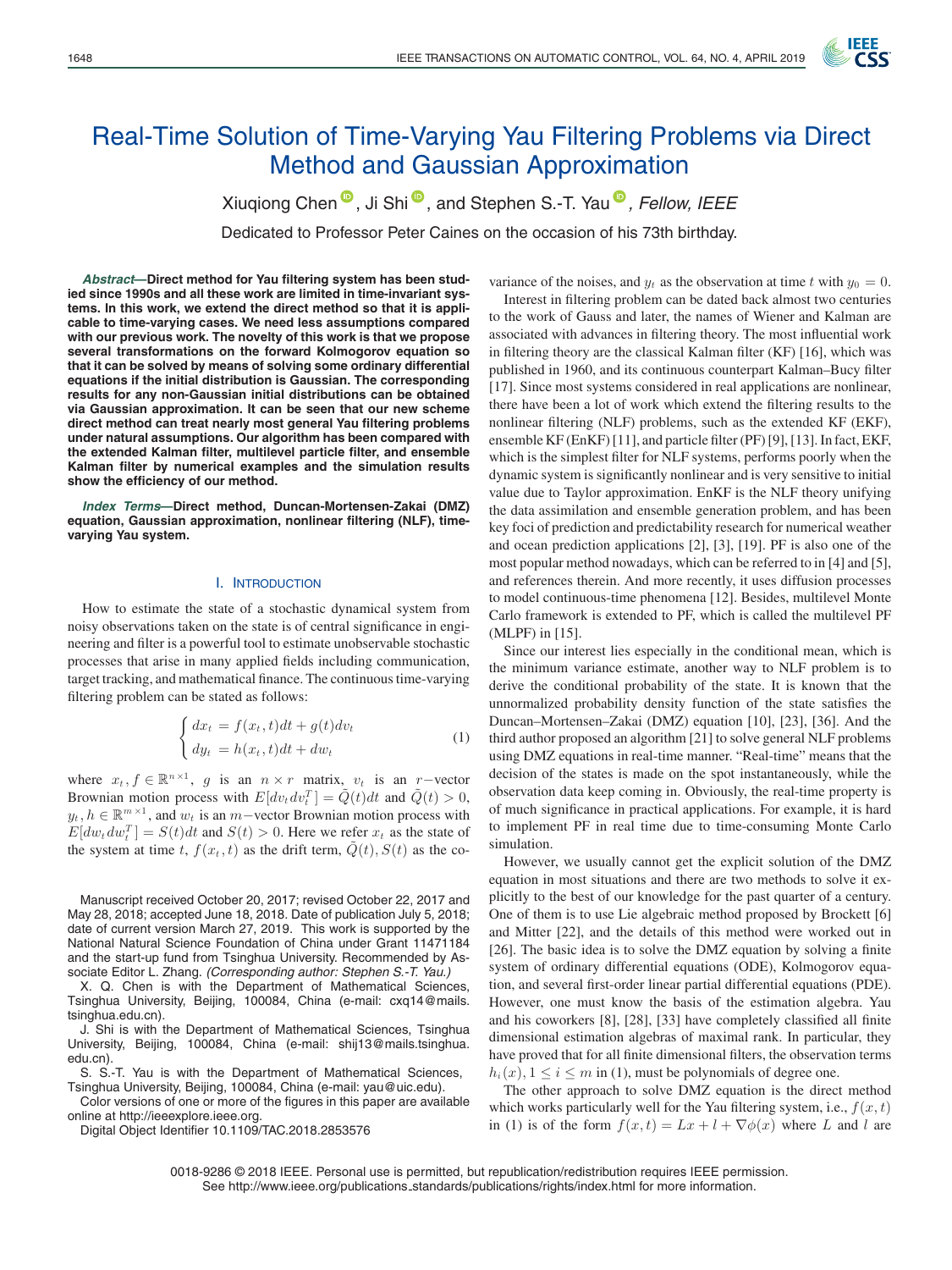

# Real-Time Solution of Time-Varying Yau Filtering Problems via Direct Method and Gaussian Approximation

Xiugiong Chen<sup><sup>®</sup>[,](https://orcid.org/0000-0001-7634-7981) Ji Shi<sup>®</sup>, and Stephen S.-T. Yau<sup>®</sup>, Fellow, IEEE</sup>

Dedicated to Professor Peter Caines on the occasion of his 73th birthday.

*Abstract***—Direct method for Yau filtering system has been studied since 1990s and all these work are limited in time-invariant systems. In this work, we extend the direct method so that it is applicable to time-varying cases. We need less assumptions compared with our previous work. The novelty of this work is that we propose several transformations on the forward Kolmogorov equation so that it can be solved by means of solving some ordinary differential equations if the initial distribution is Gaussian. The corresponding results for any non-Gaussian initial distributions can be obtained via Gaussian approximation. It can be seen that our new scheme direct method can treat nearly most general Yau filtering problems under natural assumptions. Our algorithm has been compared with the extended Kalman filter, multilevel particle filter, and ensemble Kalman filter by numerical examples and the simulation results show the efficiency of our method.**

*Index Terms***—Direct method, Duncan-Mortensen-Zakai (DMZ) equation, Gaussian approximation, nonlinear filtering (NLF), timevarying Yau system.**

#### I. INTRODUCTION

How to estimate the state of a stochastic dynamical system from noisy observations taken on the state is of central significance in engineering and filter is a powerful tool to estimate unobservable stochastic processes that arise in many applied fields including communication, target tracking, and mathematical finance. The continuous time-varying filtering problem can be stated as follows:

$$
\begin{cases} dx_t = f(x_t, t)dt + g(t)dv_t \\ dy_t = h(x_t, t)dt + dw_t \end{cases}
$$
\n(1)

where  $x_t, f \in \mathbb{R}^{n \times 1}$ , g is an  $n \times r$  matrix,  $v_t$  is an r-vector Brownian motion process with  $E[dv_t dv_t^T] = \tilde{Q}(t)dt$  and  $\tilde{Q}(t) > 0$ ,  $y_t, h \in \mathbb{R}^{m \times 1}$ , and  $w_t$  is an m−vector Brownian motion process with  $E[dw_t dw_t^T] = S(t)dt$  and  $S(t) > 0$ . Here we refer  $x_t$  as the state of the system at time t,  $f(x_t, t)$  as the drift term,  $Q(t)$ ,  $S(t)$  as the co-

Manuscript received October 20, 2017; revised October 22, 2017 and May 28, 2018; accepted June 18, 2018. Date of publication July 5, 2018; date of current version March 27, 2019. This work is supported by the National Natural Science Foundation of China under Grant 11471184 and the start-up fund from Tsinghua University. Recommended by Associate Editor L. Zhang. *(Corresponding author: Stephen S.-T. Yau.)*

X. Q. Chen is with the Department of Mathematical Sciences, Tsinghua University, Beijing, 100084, China (e-mail: cxq14@mails. tsinghua.edu.cn).

J. Shi is with the Department of Mathematical Sciences, Tsinghua University, Beijing, 100084, China (e-mail: shij13@mails.tsinghua. edu.cn).

S. S.-T. Yau is with the Department of Mathematical Sciences, Tsinghua University, Beijing, 100084, China (e-mail: yau@uic.edu).

Color versions of one or more of the figures in this paper are available online at http://ieeexplore.ieee.org.

Digital Object Identifier 10.1109/TAC.2018.2853576

variance of the noises, and  $y_t$  as the observation at time t with  $y_0 = 0$ . Interest in filtering problem can be dated back almost two centuries to the work of Gauss and later, the names of Wiener and Kalman are associated with advances in filtering theory. The most influential work in filtering theory are the classical Kalman filter (KF) [16], which was published in 1960, and its continuous counterpart Kalman–Bucy filter [17]. Since most systems considered in real applications are nonlinear, there have been a lot of work which extend the filtering results to the nonlinear filtering (NLF) problems, such as the extended KF (EKF), ensemble KF (EnKF) [11], and particle filter (PF) [9], [13]. In fact, EKF, which is the simplest filter for NLF systems, performs poorly when the dynamic system is significantly nonlinear and is very sensitive to initial value due to Taylor approximation. EnKF is the NLF theory unifying the data assimilation and ensemble generation problem, and has been key foci of prediction and predictability research for numerical weather and ocean prediction applications [2], [3], [19]. PF is also one of the most popular method nowadays, which can be referred to in [4] and [5], and references therein. And more recently, it uses diffusion processes to model continuous-time phenomena [12]. Besides, multilevel Monte Carlo framework is extended to PF, which is called the multilevel PF (MLPF) in [15].

Since our interest lies especially in the conditional mean, which is the minimum variance estimate, another way to NLF problem is to derive the conditional probability of the state. It is known that the unnormalized probability density function of the state satisfies the Duncan–Mortensen–Zakai (DMZ) equation [10], [23], [36]. And the third author proposed an algorithm [21] to solve general NLF problems using DMZ equations in real-time manner. "Real-time" means that the decision of the states is made on the spot instantaneously, while the observation data keep coming in. Obviously, the real-time property is of much significance in practical applications. For example, it is hard to implement PF in real time due to time-consuming Monte Carlo simulation.

However, we usually cannot get the explicit solution of the DMZ equation in most situations and there are two methods to solve it explicitly to the best of our knowledge for the past quarter of a century. One of them is to use Lie algebraic method proposed by Brockett [6] and Mitter [22], and the details of this method were worked out in [26]. The basic idea is to solve the DMZ equation by solving a finite system of ordinary differential equations (ODE), Kolmogorov equation, and several first-order linear partial differential equations (PDE). However, one must know the basis of the estimation algebra. Yau and his coworkers [8], [28], [33] have completely classified all finite dimensional estimation algebras of maximal rank. In particular, they have proved that for all finite dimensional filters, the observation terms  $h_i(x)$ ,  $1 \le i \le m$  in (1), must be polynomials of degree one.

The other approach to solve DMZ equation is the direct method which works particularly well for the Yau filtering system, i.e.,  $f(x, t)$ in (1) is of the form  $f(x,t) = Lx + l + \nabla \phi(x)$  where L and l are

0018-9286 © 2018 IEEE. Personal use is permitted, but republication/redistribution requires IEEE permission. See http://www.ieee.org/publications standards/publications/rights/index.html for more information.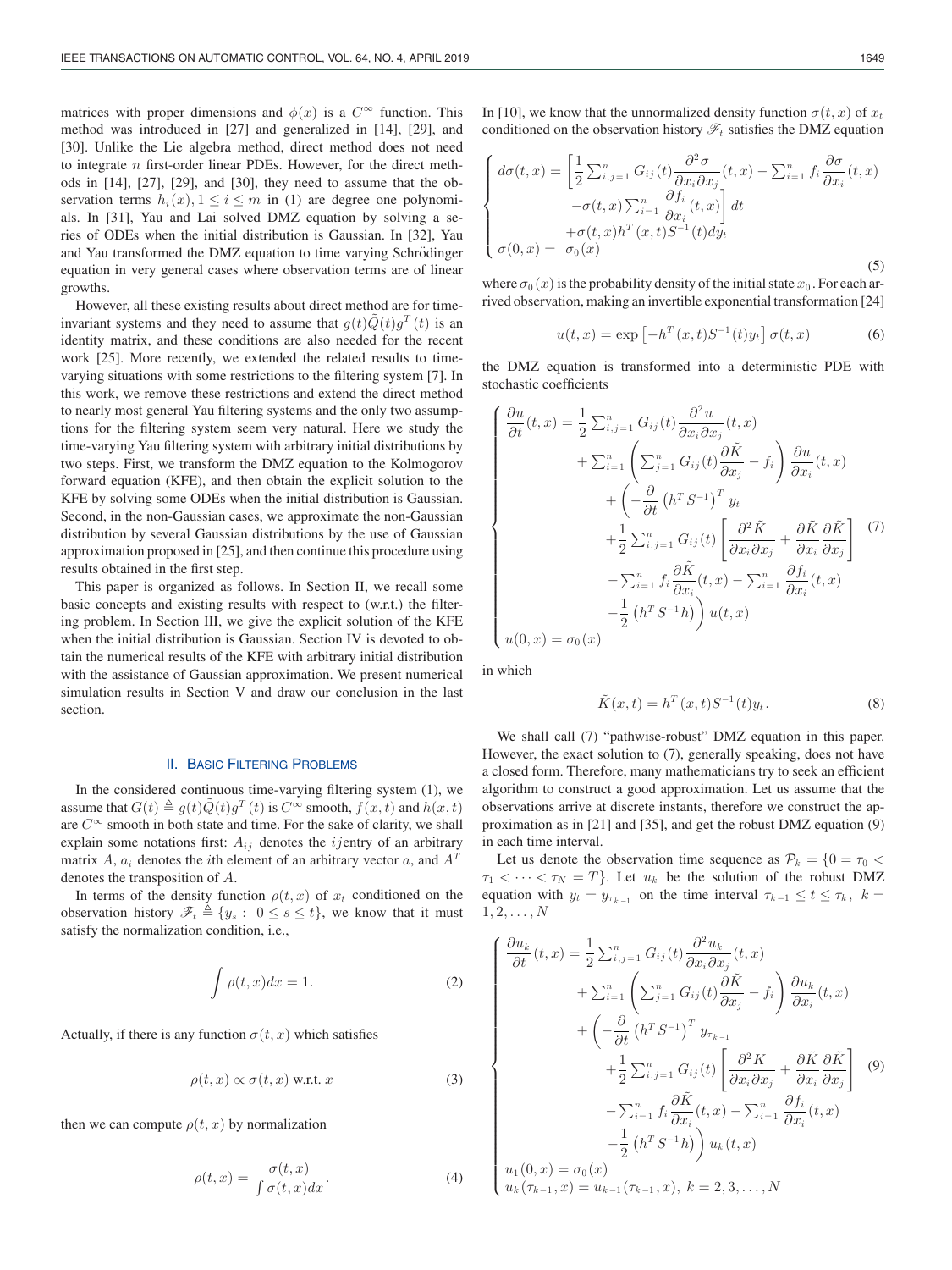matrices with proper dimensions and  $\phi(x)$  is a  $C^{\infty}$  function. This method was introduced in [27] and generalized in [14], [29], and [30]. Unlike the Lie algebra method, direct method does not need to integrate  $n$  first-order linear PDEs. However, for the direct methods in [14], [27], [29], and [30], they need to assume that the observation terms  $h_i(x)$ ,  $1 \le i \le m$  in (1) are degree one polynomials. In [31], Yau and Lai solved DMZ equation by solving a series of ODEs when the initial distribution is Gaussian. In [32], Yau and Yau transformed the DMZ equation to time varying Schrödinger equation in very general cases where observation terms are of linear growths.

However, all these existing results about direct method are for timeinvariant systems and they need to assume that  $g(t)\tilde{Q}(t)g^{T}(t)$  is an identity matrix, and these conditions are also needed for the recent work [25]. More recently, we extended the related results to timevarying situations with some restrictions to the filtering system [7]. In this work, we remove these restrictions and extend the direct method to nearly most general Yau filtering systems and the only two assumptions for the filtering system seem very natural. Here we study the time-varying Yau filtering system with arbitrary initial distributions by two steps. First, we transform the DMZ equation to the Kolmogorov forward equation (KFE), and then obtain the explicit solution to the KFE by solving some ODEs when the initial distribution is Gaussian. Second, in the non-Gaussian cases, we approximate the non-Gaussian distribution by several Gaussian distributions by the use of Gaussian approximation proposed in [25], and then continue this procedure using results obtained in the first step.

This paper is organized as follows. In Section II, we recall some basic concepts and existing results with respect to (w.r.t.) the filtering problem. In Section III, we give the explicit solution of the KFE when the initial distribution is Gaussian. Section IV is devoted to obtain the numerical results of the KFE with arbitrary initial distribution with the assistance of Gaussian approximation. We present numerical simulation results in Section V and draw our conclusion in the last section.

#### II. BASIC FILTERING PROBLEMS

In the considered continuous time-varying filtering system (1), we assume that  $G(t) \triangleq g(t) \tilde{Q}(t)g^T(t)$  is  $C^{\infty}$  smooth,  $f(x, t)$  and  $h(x, t)$ are  $C^{\infty}$  smooth in both state and time. For the sake of clarity, we shall explain some notations first:  $A_{ij}$  denotes the *ijentry* of an arbitrary matrix A,  $a_i$  denotes the *i*th element of an arbitrary vector a, and  $A<sup>T</sup>$ denotes the transposition of A.

In terms of the density function  $\rho(t, x)$  of  $x_t$  conditioned on the observation history  $\mathscr{F}_t \triangleq \{y_s : 0 \le s \le t\}$ , we know that it must satisfy the normalization condition, i.e.,

$$
\int \rho(t, x) dx = 1.
$$
 (2)

Actually, if there is any function  $\sigma(t, x)$  which satisfies

$$
\rho(t, x) \propto \sigma(t, x) \text{ w.r.t. } x \tag{3}
$$

then we can compute  $\rho(t, x)$  by normalization

$$
\rho(t,x) = \frac{\sigma(t,x)}{\int \sigma(t,x)dx}.
$$
\n(4)

In [10], we know that the unnormalized density function  $\sigma(t, x)$  of  $x_t$ conditioned on the observation history  $\mathscr{F}_t$  satisfies the DMZ equation

$$
\begin{cases}\n d\sigma(t,x) = \left[\frac{1}{2}\sum_{i,j=1}^{n} G_{ij}(t)\frac{\partial^2 \sigma}{\partial x_i \partial x_j}(t,x) - \sum_{i=1}^{n} f_i \frac{\partial \sigma}{\partial x_i}(t,x) -\sigma(t,x)\sum_{i=1}^{n} \frac{\partial f_i}{\partial x_i}(t,x)\right] dt \\
 + \sigma(t,x) h^T(x,t) S^{-1}(t) dy_t \\
 \sigma(0,x) = \sigma_0(x)\n\end{cases} \tag{5}
$$

where  $\sigma_0(x)$  is the probability density of the initial state  $x_0$ . For each arrived observation, making an invertible exponential transformation [24]

$$
u(t,x) = \exp\left[-h^T(x,t)S^{-1}(t)y_t\right]\sigma(t,x) \tag{6}
$$

the DMZ equation is transformed into a deterministic PDE with stochastic coefficients

$$
\begin{cases}\n\frac{\partial u}{\partial t}(t,x) = \frac{1}{2} \sum_{i,j=1}^{n} G_{ij}(t) \frac{\partial^2 u}{\partial x_i \partial x_j}(t,x) \\
+ \sum_{i=1}^{n} \left( \sum_{j=1}^{n} G_{ij}(t) \frac{\partial \tilde{K}}{\partial x_j} - f_i \right) \frac{\partial u}{\partial x_i}(t,x) \\
+ \left( -\frac{\partial}{\partial t} \left( h^T S^{-1} \right)^T y_t \\
+ \frac{1}{2} \sum_{i,j=1}^{n} G_{ij}(t) \left[ \frac{\partial^2 \tilde{K}}{\partial x_i \partial x_j} + \frac{\partial \tilde{K}}{\partial x_i} \frac{\partial \tilde{K}}{\partial x_j} \right] \\
- \sum_{i=1}^{n} f_i \frac{\partial \tilde{K}}{\partial x_i}(t,x) - \sum_{i=1}^{n} \frac{\partial f_i}{\partial x_i}(t,x) \\
u(0,x) = \sigma_0(x)\n\end{cases}
$$
\n(7)

in which

$$
\tilde{K}(x,t) = h^T(x,t)S^{-1}(t)y_t.
$$
\n(8)

We shall call (7) "pathwise-robust" DMZ equation in this paper. However, the exact solution to (7), generally speaking, does not have a closed form. Therefore, many mathematicians try to seek an efficient algorithm to construct a good approximation. Let us assume that the observations arrive at discrete instants, therefore we construct the approximation as in [21] and [35], and get the robust DMZ equation (9) in each time interval.

Let us denote the observation time sequence as  $\mathcal{P}_k = \{0 = \tau_0$  $\tau_1 < \cdots < \tau_N = T$ . Let  $u_k$  be the solution of the robust DMZ equation with  $y_t = y_{\tau_{k-1}}$  on the time interval  $\tau_{k-1} \le t \le \tau_k$ ,  $k =$  $1, 2, \ldots, N$ 

$$
\begin{cases}\n\frac{\partial u_k}{\partial t}(t,x) = \frac{1}{2} \sum_{i,j=1}^n G_{ij}(t) \frac{\partial^2 u_k}{\partial x_i \partial x_j}(t,x) \\
+ \sum_{i=1}^n \left( \sum_{j=1}^n G_{ij}(t) \frac{\partial \tilde{K}}{\partial x_j} - f_i \right) \frac{\partial u_k}{\partial x_i}(t,x) \\
+ \left( -\frac{\partial}{\partial t} \left( h^T S^{-1} \right)^T y_{\tau_{k-1}} \right. \\
+ \frac{1}{2} \sum_{i,j=1}^n G_{ij}(t) \left[ \frac{\partial^2 K}{\partial x_i \partial x_j} + \frac{\partial \tilde{K}}{\partial x_i} \frac{\partial \tilde{K}}{\partial x_j} \right] (9) \\
- \sum_{i=1}^n f_i \frac{\partial \tilde{K}}{\partial x_i}(t,x) - \sum_{i=1}^n \frac{\partial f_i}{\partial x_i}(t,x) \\
- \frac{1}{2} \left( h^T S^{-1} h \right) u_k(t,x) \\
u_1(0,x) = \sigma_0(x) \\
u_k(\tau_{k-1},x) = u_{k-1}(\tau_{k-1},x), k = 2,3,...,N\n\end{cases}
$$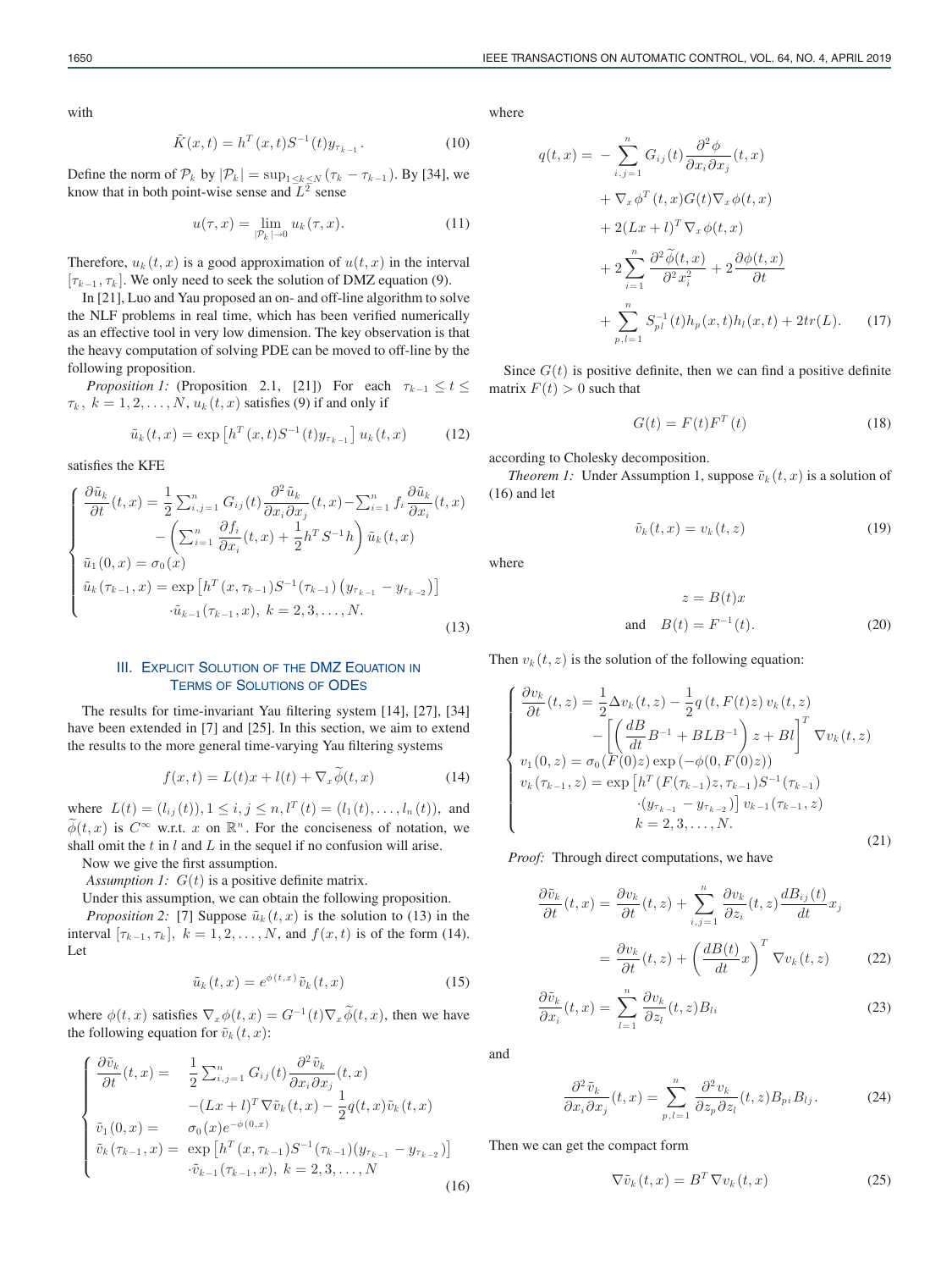with

$$
\tilde{K}(x,t) = h^T(x,t)S^{-1}(t)y_{\tau_{k-1}}.
$$
\n(10)

Define the norm of  $\mathcal{P}_k$  by  $|\mathcal{P}_k| = \sup_{1 \leq k \leq N} (\tau_k - \tau_{k-1})$ . By [34], we know that in both point-wise sense and  $L^2$  sense

$$
u(\tau, x) = \lim_{|\mathcal{P}_k| \to 0} u_k(\tau, x). \tag{11}
$$

Therefore,  $u_k(t, x)$  is a good approximation of  $u(t, x)$  in the interval  $[\tau_{k-1}, \tau_k]$ . We only need to seek the solution of DMZ equation (9).

In [21], Luo and Yau proposed an on- and off-line algorithm to solve the NLF problems in real time, which has been verified numerically as an effective tool in very low dimension. The key observation is that the heavy computation of solving PDE can be moved to off-line by the following proposition.

*Proposition 1:* (Proposition 2.1, [21]) For each  $\tau_{k-1} \leq t \leq$  $\tau_k$ ,  $k = 1, 2, \ldots, N$ ,  $u_k(t, x)$  satisfies (9) if and only if

$$
\tilde{u}_k(t,x) = \exp\left[h^T(x,t)S^{-1}(t)y_{\tau_{k-1}}\right]u_k(t,x) \tag{12}
$$

satisfies the KFE

$$
\begin{cases}\n\frac{\partial \tilde{u}_k}{\partial t}(t,x) = \frac{1}{2} \sum_{i,j=1}^n G_{ij}(t) \frac{\partial^2 \tilde{u}_k}{\partial x_i \partial x_j}(t,x) - \sum_{i=1}^n f_i \frac{\partial \tilde{u}_k}{\partial x_i}(t,x) \\
-\left(\sum_{i=1}^n \frac{\partial f_i}{\partial x_i}(t,x) + \frac{1}{2} h^T S^{-1} h\right) \tilde{u}_k(t,x) \\
\tilde{u}_1(0,x) = \sigma_0(x) \\
\tilde{u}_k(\tau_{k-1},x) = \exp\left[h^T(x,\tau_{k-1}) S^{-1}(\tau_{k-1}) (y_{\tau_{k-1}} - y_{\tau_{k-2}})\right] \\
-\tilde{u}_{k-1}(\tau_{k-1},x), k = 2,3,...,N.\n\end{cases} (13)
$$

## III. EXPLICIT SOLUTION OF THE DMZ EQUATION IN TERMS OF SOLUTIONS OF ODES

The results for time-invariant Yau filtering system [14], [27], [34] have been extended in [7] and [25]. In this section, we aim to extend the results to the more general time-varying Yau filtering systems

$$
f(x,t) = L(t)x + l(t) + \nabla_x \tilde{\phi}(t, x)
$$
 (14)

where  $L(t) = (l_{ij}(t)), 1 \le i, j \le n, l^{T}(t) = (l_1 (t),...,l_n (t)),$  and  $\widetilde{\phi}(t,x)$  is  $C^{\infty}$  w.r.t. x on  $\mathbb{R}^n$ . For the conciseness of notation, we shall omit the  $t$  in  $l$  and  $L$  in the sequel if no confusion will arise.

Now we give the first assumption.

*Assumption 1:*  $G(t)$  is a positive definite matrix.

Under this assumption, we can obtain the following proposition.

*Proposition 2:* [7] Suppose  $\tilde{u}_k(t, x)$  is the solution to (13) in the interval  $[\tau_{k-1}, \tau_k]$ ,  $k = 1, 2, ..., N$ , and  $f(x, t)$  is of the form (14). Let

$$
\tilde{u}_k(t,x) = e^{\phi(t,x)} \tilde{v}_k(t,x) \tag{15}
$$

where  $\phi(t, x)$  satisfies  $\nabla_x \phi(t, x) = G^{-1}(t) \nabla_x \widetilde{\phi}(t, x)$ , then we have the following equation for  $\tilde{v}_k(t, x)$ :

$$
\begin{cases}\n\frac{\partial \tilde{v}_k}{\partial t}(t,x) = \frac{1}{2} \sum_{i,j=1}^n G_{ij}(t) \frac{\partial^2 \tilde{v}_k}{\partial x_i \partial x_j}(t,x) \\
-(Lx+l)^T \nabla \tilde{v}_k(t,x) - \frac{1}{2} q(t,x) \tilde{v}_k(t,x) \\
\tilde{v}_1(0,x) = \sigma_0(x) e^{-\phi(0,x)} \\
\tilde{v}_k(\tau_{k-1},x) = \exp\left[h^T(x,\tau_{k-1}) S^{-1}(\tau_{k-1})(y_{\tau_{k-1}} - y_{\tau_{k-2}})\right] \\
\cdot \tilde{v}_{k-1}(\tau_{k-1},x), k = 2,3,\dots,N\n\end{cases}
$$
\n(16)

where

$$
q(t,x) = -\sum_{i,j=1}^{n} G_{ij}(t) \frac{\partial^2 \phi}{\partial x_i \partial x_j}(t,x)
$$
  
+  $\nabla_x \phi^T(t,x) G(t) \nabla_x \phi(t,x)$   
+  $2(Lx + t)^T \nabla_x \phi(t,x)$   
+  $2 \sum_{i=1}^{n} \frac{\partial^2 \widetilde{\phi}(t,x)}{\partial^2 x_i^2} + 2 \frac{\partial \phi(t,x)}{\partial t}$   
+  $\sum_{p,l=1}^{n} S_{pl}^{-1}(t) h_p(x,t) h_l(x,t) + 2tr(L).$  (17)

Since  $G(t)$  is positive definite, then we can find a positive definite matrix  $F(t) > 0$  such that

$$
G(t) = F(t)F^{T}(t)
$$
\n(18)

according to Cholesky decomposition.

*Theorem 1:* Under Assumption 1, suppose  $\tilde{v}_k(t, x)$  is a solution of (16) and let

$$
\tilde{v}_k(t,x) = v_k(t,z) \tag{19}
$$

where

$$
z = B(t)x
$$
  
and 
$$
B(t) = F^{-1}(t).
$$
 (20)

Then  $v_k(t, z)$  is the solution of the following equation:

$$
\begin{cases}\n\frac{\partial v_k}{\partial t}(t, z) = \frac{1}{2}\Delta v_k(t, z) - \frac{1}{2}q(t, F(t)z) v_k(t, z) \\
-\left[\left(\frac{dB}{dt}B^{-1} + BLB^{-1}\right)z + Bl\right]^T \nabla v_k(t, z) \\
v_1(0, z) = \sigma_0(F(0)z) \exp(-\phi(0, F(0)z)) \\
v_k(\tau_{k-1}, z) = \exp\left[h^T(F(\tau_{k-1})z, \tau_{k-1})S^{-1}(\tau_{k-1})\right] \\
\cdot(y_{\tau_{k-1}} - y_{\tau_{k-2}})\right]v_{k-1}(\tau_{k-1}, z) \\
k = 2, 3, \dots, N.\n\end{cases} \tag{21}
$$

*Proof:* Through direct computations, we have

$$
\frac{\partial \tilde{v}_k}{\partial t}(t, x) = \frac{\partial v_k}{\partial t}(t, z) + \sum_{i, j = 1}^n \frac{\partial v_k}{\partial z_i}(t, z) \frac{dB_{ij}(t)}{dt} x_j
$$

$$
= \frac{\partial v_k}{\partial t}(t, z) + \left(\frac{dB(t)}{dt}x\right)^T \nabla v_k(t, z) \tag{22}
$$

$$
\frac{\partial \tilde{v}_k}{\partial x_i}(t,x) = \sum_{l=1}^n \frac{\partial v_k}{\partial z_l}(t,z) B_{li}
$$
\n(23)

and

$$
\frac{\partial^2 \tilde{v}_k}{\partial x_i \partial x_j}(t, x) = \sum_{p,l=1}^n \frac{\partial^2 v_k}{\partial z_p \partial z_l}(t, z) B_{pi} B_{lj}.
$$
 (24)

Then we can get the compact form

$$
\nabla \tilde{v}_k(t, x) = B^T \nabla v_k(t, x)
$$
\n(25)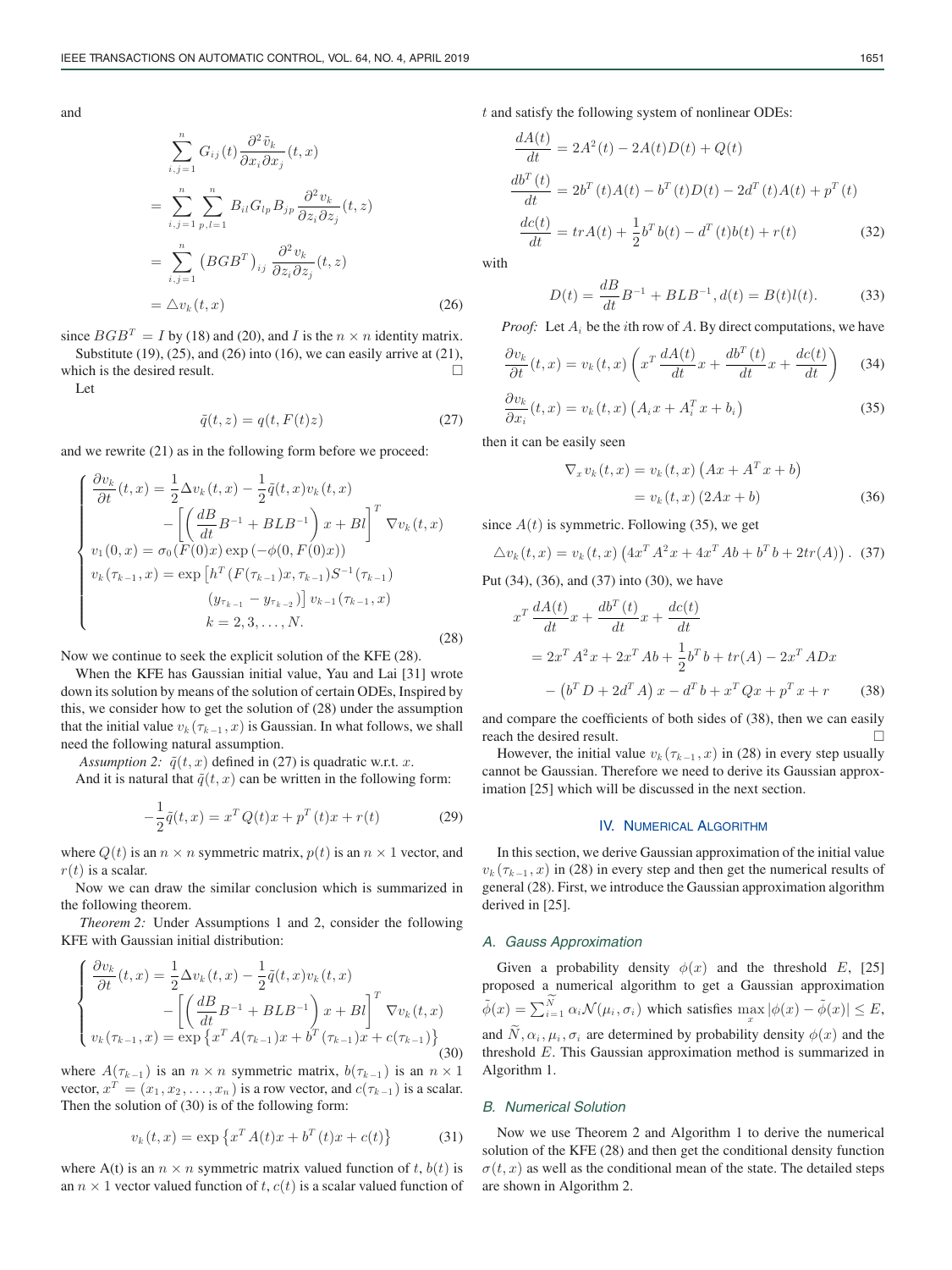and

$$
\sum_{i,j=1}^{n} G_{ij}(t) \frac{\partial^2 \tilde{v}_k}{\partial x_i \partial x_j}(t, x)
$$
\n
$$
= \sum_{i,j=1}^{n} \sum_{p,l=1}^{n} B_{il} G_{lp} B_{jp} \frac{\partial^2 v_k}{\partial z_i \partial z_j}(t, z)
$$
\n
$$
= \sum_{i,j=1}^{n} (BGB^T)_{ij} \frac{\partial^2 v_k}{\partial z_i \partial z_j}(t, z)
$$
\n
$$
= \Delta v_k(t, x) \tag{26}
$$

since  $BGB^{T} = I$  by (18) and (20), and *I* is the  $n \times n$  identity matrix. Substitute  $(19)$ ,  $(25)$ , and  $(26)$  into  $(16)$ , we can easily arrive at  $(21)$ , which is the desired result.  $\Box$ 

Let

$$
\tilde{q}(t,z) = q(t, F(t)z)
$$
\n(27)

and we rewrite (21) as in the following form before we proceed:

$$
\begin{cases}\n\frac{\partial v_k}{\partial t}(t,x) = \frac{1}{2}\Delta v_k(t,x) - \frac{1}{2}\tilde{q}(t,x)v_k(t,x) \\
-\left[\left(\frac{dB}{dt}B^{-1} + BLB^{-1}\right)x + Bl\right]^T \nabla v_k(t,x) \\
v_1(0,x) = \sigma_0(F(0)x) \exp(-\phi(0,F(0)x)) \\
v_k(\tau_{k-1},x) = \exp\left[h^T\left(F(\tau_{k-1})x, \tau_{k-1}\right)S^{-1}(\tau_{k-1}) \\
\left(y_{\tau_{k-1}} - y_{\tau_{k-2}}\right)\right]v_{k-1}(\tau_{k-1},x) \\
k = 2, 3, \dots, N.\n\end{cases}
$$
\n(28)

Now we continue to seek the explicit solution of the KFE (28).

When the KFE has Gaussian initial value, Yau and Lai [31] wrote down its solution by means of the solution of certain ODEs, Inspired by this, we consider how to get the solution of (28) under the assumption that the initial value  $v_k(\tau_{k-1}, x)$  is Gaussian. In what follows, we shall need the following natural assumption.

*Assumption 2:*  $\tilde{q}(t, x)$  defined in (27) is quadratic w.r.t. x.

And it is natural that  $\tilde{q}(t, x)$  can be written in the following form:

$$
-\frac{1}{2}\tilde{q}(t,x) = x^T Q(t)x + p^T(t)x + r(t)
$$
\n(29)

where  $Q(t)$  is an  $n \times n$  symmetric matrix,  $p(t)$  is an  $n \times 1$  vector, and  $r(t)$  is a scalar.

Now we can draw the similar conclusion which is summarized in the following theorem.

*Theorem 2:* Under Assumptions 1 and 2, consider the following KFE with Gaussian initial distribution:

$$
\begin{cases}\n\frac{\partial v_k}{\partial t}(t,x) = \frac{1}{2} \Delta v_k(t,x) - \frac{1}{2} \tilde{q}(t,x) v_k(t,x) \\
-\left[ \left( \frac{dB}{dt} B^{-1} + BLB^{-1} \right) x + Bl \right]^T \nabla v_k(t,x) \\
v_k(\tau_{k-1},x) = \exp \left\{ x^T A(\tau_{k-1}) x + b^T (\tau_{k-1}) x + c(\tau_{k-1}) \right\}\n\end{cases}
$$
\n(30)

where  $A(\tau_{k-1})$  is an  $n \times n$  symmetric matrix,  $b(\tau_{k-1})$  is an  $n \times 1$ vector,  $x^T = (x_1, x_2, \ldots, x_n)$  is a row vector, and  $c(\tau_{k-1})$  is a scalar. Then the solution of (30) is of the following form:

$$
v_k(t, x) = \exp \{ x^T A(t) x + b^T(t) x + c(t) \}
$$
 (31)

where A(t) is an  $n \times n$  symmetric matrix valued function of t,  $b(t)$  is an  $n \times 1$  vector valued function of t,  $c(t)$  is a scalar valued function of t and satisfy the following system of nonlinear ODEs:

$$
\frac{dA(t)}{dt} = 2A^2(t) - 2A(t)D(t) + Q(t)
$$
\n
$$
\frac{db^T(t)}{dt} = 2b^T(t)A(t) - b^T(t)D(t) - 2d^T(t)A(t) + p^T(t)
$$
\n
$$
\frac{dc(t)}{dt} = trA(t) + \frac{1}{2}b^Tb(t) - d^T(t)b(t) + r(t)
$$
\n(32)

with

$$
D(t) = \frac{dB}{dt}B^{-1} + BLB^{-1}, d(t) = B(t)l(t).
$$
 (33)

*Proof:* Let  $A_i$  be the *i*th row of A. By direct computations, we have

$$
\frac{\partial v_k}{\partial t}(t,x) = v_k(t,x) \left( x^T \frac{dA(t)}{dt} x + \frac{db^T(t)}{dt} x + \frac{dc(t)}{dt} \right)
$$
 (34)

$$
\frac{\partial v_k}{\partial x_i}(t,x) = v_k(t,x) \left( A_i x + A_i^T x + b_i \right)
$$
\n(35)

then it can be easily seen

$$
\nabla_x v_k(t, x) = v_k(t, x) \left( Ax + A^T x + b \right)
$$

$$
= v_k(t, x) \left( 2Ax + b \right)
$$
(36)

since  $A(t)$  is symmetric. Following (35), we get

$$
\Delta v_k(t, x) = v_k(t, x) \left( 4x^T A^2 x + 4x^T A b + b^T b + 2tr(A) \right). \tag{37}
$$

Put (34), (36), and (37) into (30), we have

$$
x^{T} \frac{dA(t)}{dt} x + \frac{db^{T}(t)}{dt} x + \frac{dc(t)}{dt}
$$
  
=  $2x^{T} A^{2} x + 2x^{T} Ab + \frac{1}{2} b^{T} b + tr(A) - 2x^{T} ADx$   
-  $(b^{T} D + 2d^{T} A) x - d^{T} b + x^{T} Qx + p^{T} x + r$  (38)

and compare the coefficients of both sides of (38), then we can easily reach the desired result.

However, the initial value  $v_k(\tau_{k-1}, x)$  in (28) in every step usually cannot be Gaussian. Therefore we need to derive its Gaussian approximation [25] which will be discussed in the next section.

#### IV. NUMERICAL ALGORITHM

In this section, we derive Gaussian approximation of the initial value  $v_k(\tau_{k-1}, x)$  in (28) in every step and then get the numerical results of general (28). First, we introduce the Gaussian approximation algorithm derived in [25].

#### *A. Gauss Approximation*

Given a probability density  $\phi(x)$  and the threshold E, [25] proposed a numerical algorithm to get a Gaussian approximation  $\tilde{\phi}(x) = \sum_{i=1}^{N} \alpha_i \mathcal{N}(\mu_i, \sigma_i)$  which satisfies  $\max_{x} |\phi(x) - \tilde{\phi}(x)| \le E$ , and  $\widetilde{N}, \alpha_i, \mu_i, \sigma_i$  are determined by probability density  $\phi(x)$  and the threshold E. This Gaussian approximation method is summarized in Algorithm 1.

#### *B. Numerical Solution*

Now we use Theorem 2 and Algorithm 1 to derive the numerical solution of the KFE (28) and then get the conditional density function  $\sigma(t, x)$  as well as the conditional mean of the state. The detailed steps are shown in Algorithm 2.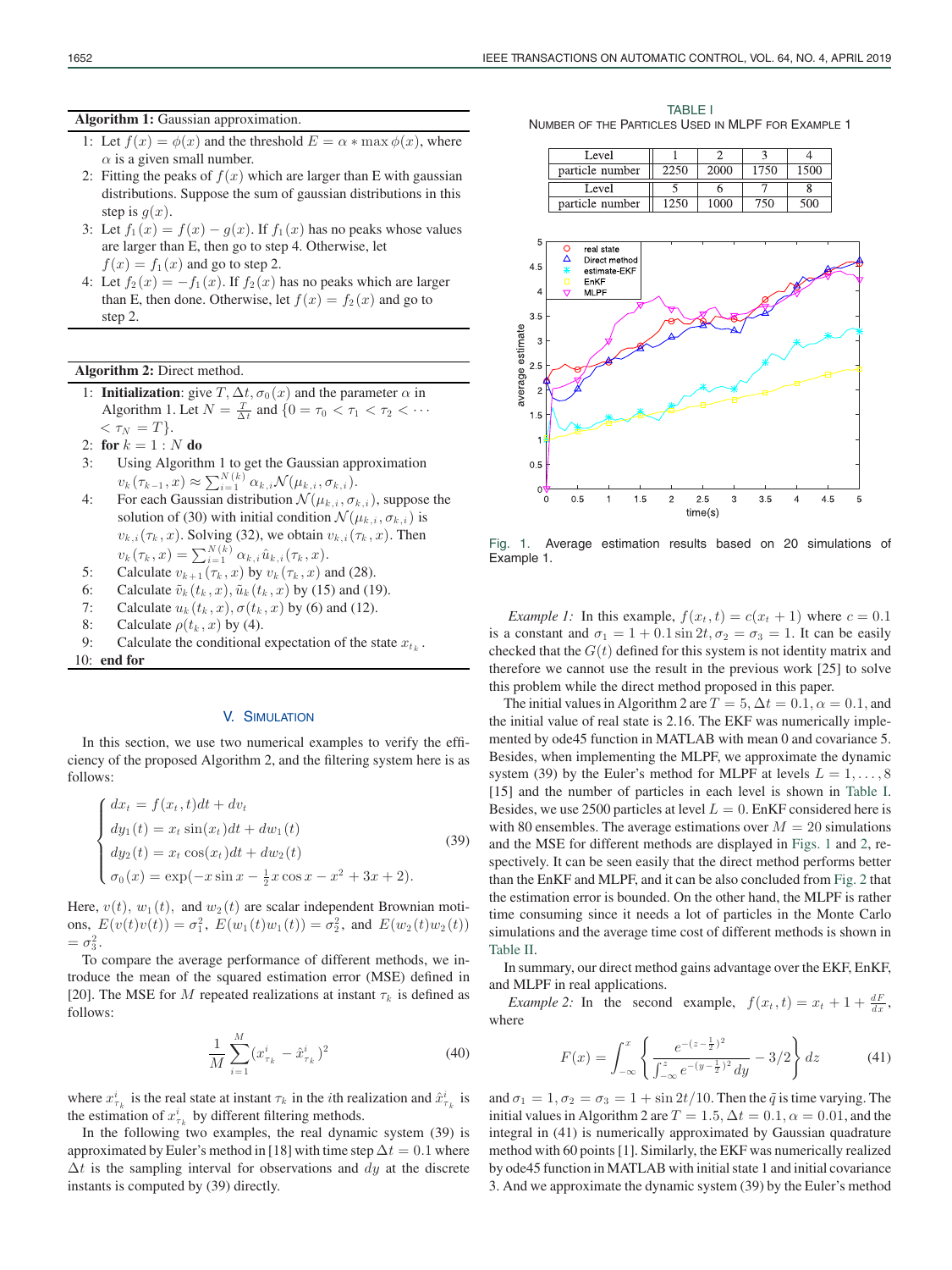**Algorithm 1:** Gaussian approximation.

- 1: Let  $f(x) = \phi(x)$  and the threshold  $E = \alpha * \max \phi(x)$ , where  $\alpha$  is a given small number.
- 2: Fitting the peaks of  $f(x)$  which are larger than E with gaussian distributions. Suppose the sum of gaussian distributions in this step is  $q(x)$ .
- 3: Let  $f_1(x) = f(x) g(x)$ . If  $f_1(x)$  has no peaks whose values are larger than E, then go to step 4. Otherwise, let  $f(x) = f_1(x)$  and go to step 2.
- 4: Let  $f_2(x) = -f_1(x)$ . If  $f_2(x)$  has no peaks which are larger than E, then done. Otherwise, let  $f(x) = f_2(x)$  and go to step 2.

## **Algorithm 2:** Direct method.

- 1: **Initialization**: give  $T$ ,  $\Delta t$ ,  $\sigma_0(x)$  and the parameter  $\alpha$  in Algorithm 1. Let  $N = \frac{T}{\Delta t}$  and  $\{0 = \tau_0 < \tau_1 < \tau_2 < \cdots$  $\langle \tau_N = T \rangle$ .
- 2: **for**  $k = 1 : N$  **do**
- 3: Using Algorithm 1 to get the Gaussian approximation  $v_k(\tau_{k-1}, x) \approx \sum_{i=1}^{N(k)} \alpha_{k,i} \mathcal{N}(\mu_{k,i}, \sigma_{k,i}).$
- 4: For each Gaussian distribution  $\mathcal{N}(\mu_{k,i}, \sigma_{k,i})$ , suppose the solution of (30) with initial condition  $\mathcal{N}(\mu_{k,i}, \sigma_{k,i})$  is  $v_{k,i}(\tau_k, x)$ . Solving (32), we obtain  $v_{k,i}(\tau_k, x)$ . Then  $v_k(\tau_k, x) = \sum_{i=1}^{N(k)} \alpha_{k,i} \hat{u}_{k,i}(\tau_k, x).$
- 5: Calculate  $v_{k+1}(\tau_k, x)$  by  $v_k(\tau_k, x)$  and (28).
- 6: Calculate  $\tilde{v}_k(t_k, x)$ ,  $\tilde{u}_k(t_k, x)$  by (15) and (19).
- 7: Calculate  $u_k(t_k, x)$ ,  $\sigma(t_k, x)$  by (6) and (12).
- 8: Calculate  $\rho(t_k, x)$  by (4).
- 9: Calculate the conditional expectation of the state  $x_{t_k}$ .

10: **end for**

# V. SIMULATION

In this section, we use two numerical examples to verify the efficiency of the proposed Algorithm 2, and the filtering system here is as follows:

$$
\begin{cases}\ndx_t = f(x_t, t)dt + dv_t \\
dy_1(t) = x_t \sin(x_t)dt + dw_1(t) \\
dy_2(t) = x_t \cos(x_t)dt + dw_2(t) \\
\sigma_0(x) = \exp(-x \sin x - \frac{1}{2}x \cos x - x^2 + 3x + 2).\n\end{cases}
$$
\n(39)

Here,  $v(t)$ ,  $w_1(t)$ , and  $w_2(t)$  are scalar independent Brownian motions,  $E(v(t)v(t)) = \sigma_1^2$ ,  $E(w_1(t)w_1(t)) = \sigma_2^2$ , and  $E(w_2(t)w_2(t))$  $=\sigma_3^2$ .

To compare the average performance of different methods, we introduce the mean of the squared estimation error (MSE) defined in [20]. The MSE for M repeated realizations at instant  $\tau_k$  is defined as follows:

$$
\frac{1}{M} \sum_{i=1}^{M} (x_{\tau_k}^i - \hat{x}_{\tau_k}^i)^2
$$
\n(40)

where  $x_{\tau_k}^i$  is the real state at instant  $\tau_k$  in the *i*th realization and  $\hat{x}_{\tau_k}^i$  is the estimation of  $x_{\tau_k}^i$  by different filtering methods.

In the following two examples, the real dynamic system (39) is approximated by Euler's method in [18] with time step  $\Delta t = 0.1$  where  $\Delta t$  is the sampling interval for observations and  $dy$  at the discrete instants is computed by (39) directly.

TABLE I NUMBER OF THE PARTICLES USED IN MLPF FOR EXAMPLE 1

| Level           |      |      |  |
|-----------------|------|------|--|
| particle number | 2000 | 1750 |  |
|                 |      |      |  |
| Level           |      |      |  |



Fig. 1. Average estimation results based on 20 simulations of Example 1.

*Example 1:* In this example,  $f(x_t, t) = c(x_t + 1)$  where  $c = 0.1$ is a constant and  $\sigma_1 = 1 + 0.1 \sin 2t$ ,  $\sigma_2 = \sigma_3 = 1$ . It can be easily checked that the  $G(t)$  defined for this system is not identity matrix and therefore we cannot use the result in the previous work [25] to solve this problem while the direct method proposed in this paper.

The initial values in Algorithm 2 are  $T = 5$ ,  $\Delta t = 0.1$ ,  $\alpha = 0.1$ , and the initial value of real state is 2.16. The EKF was numerically implemented by ode45 function in MATLAB with mean 0 and covariance 5. Besides, when implementing the MLPF, we approximate the dynamic system (39) by the Euler's method for MLPF at levels  $L = 1, \ldots, 8$ [15] and the number of particles in each level is shown in Table I. Besides, we use 2500 particles at level  $L = 0$ . EnKF considered here is with 80 ensembles. The average estimations over  $M = 20$  simulations and the MSE for different methods are displayed in Figs. 1 and 2, respectively. It can be seen easily that the direct method performs better than the EnKF and MLPF, and it can be also concluded from Fig. 2 that the estimation error is bounded. On the other hand, the MLPF is rather time consuming since it needs a lot of particles in the Monte Carlo simulations and the average time cost of different methods is shown in Table II.

In summary, our direct method gains advantage over the EKF, EnKF, and MLPF in real applications.

*Example 2:* In the second example,  $f(x_t, t) = x_t + 1 + \frac{dF}{dx}$ , where

$$
F(x) = \int_{-\infty}^{x} \left\{ \frac{e^{-(z - \frac{1}{2})^2}}{\int_{-\infty}^{z} e^{-(y - \frac{1}{2})^2} dy} - 3/2 \right\} dz
$$
 (41)

and  $\sigma_1 = 1, \sigma_2 = \sigma_3 = 1 + \sin 2t/10$ . Then the  $\tilde{q}$  is time varying. The initial values in Algorithm 2 are  $T = 1.5$ ,  $\Delta t = 0.1$ ,  $\alpha = 0.01$ , and the integral in (41) is numerically approximated by Gaussian quadrature method with 60 points [1]. Similarly, the EKF was numerically realized by ode45 function in MATLAB with initial state 1 and initial covariance 3. And we approximate the dynamic system (39) by the Euler's method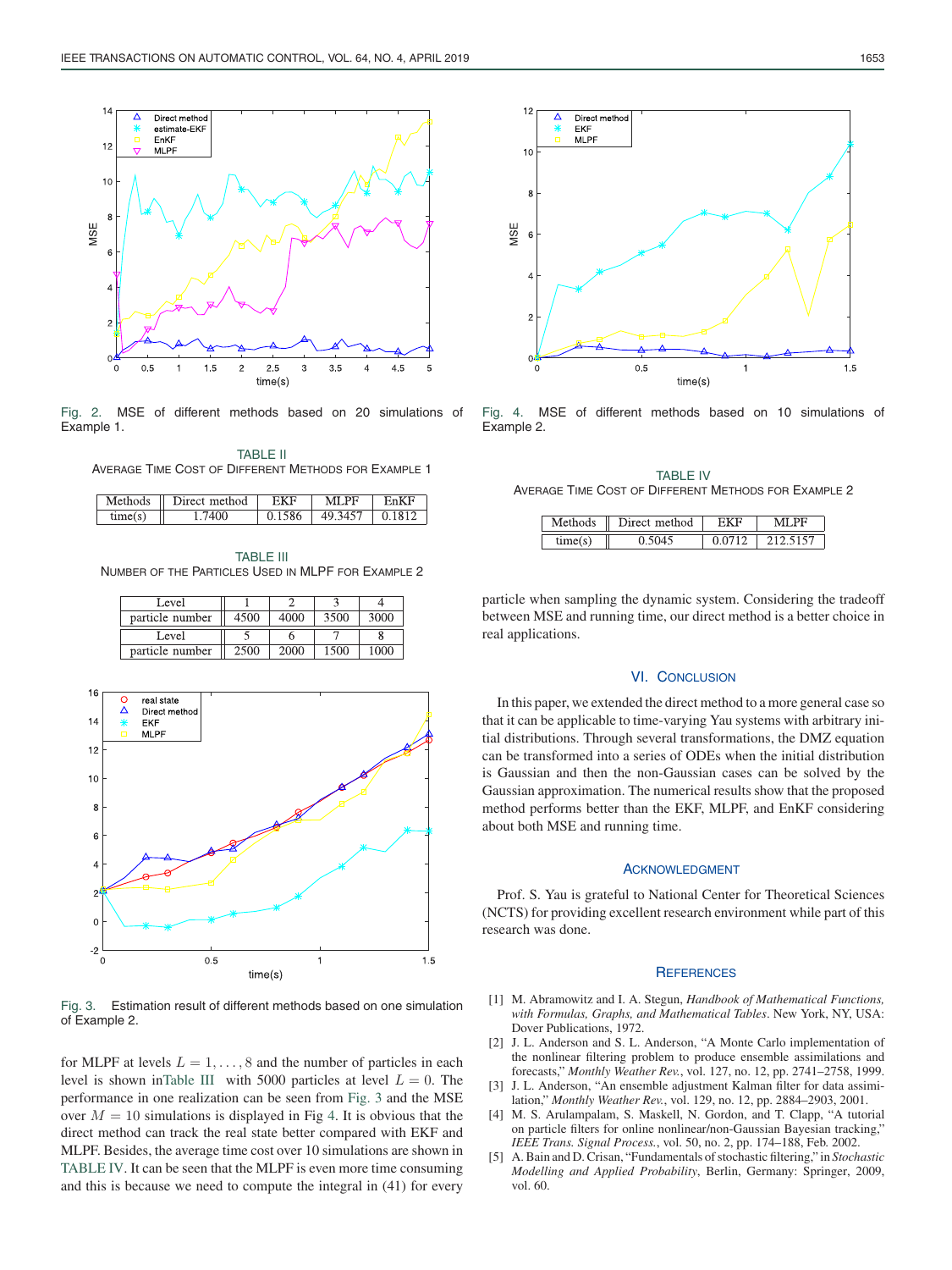

Fig. 2. MSE of different methods based on 20 simulations of Example 1.

TABLE II AVERAGE TIME COST OF DIFFERENT METHODS FOR EXAMPLE 1

| Methods | method<br>l lirec |     | MI PF        |  |
|---------|-------------------|-----|--------------|--|
| time(   | $100 -$           | 506 | $1 -$<br>40. |  |

TABLE III NUMBER OF THE PARTICLES USED IN MLPF FOR EXAMPLE 2

| Level           |      |      |      |      |
|-----------------|------|------|------|------|
| particle number | 4500 | 4000 | 3500 | 3000 |
|                 |      |      |      |      |
| Level           |      |      |      |      |



Fig. 3. Estimation result of different methods based on one simulation of Example 2.

for MLPF at levels  $L = 1, \ldots, 8$  and the number of particles in each level is shown inTable III with 5000 particles at level  $L = 0$ . The performance in one realization can be seen from Fig. 3 and the MSE over  $M = 10$  simulations is displayed in Fig 4. It is obvious that the direct method can track the real state better compared with EKF and MLPF. Besides, the average time cost over 10 simulations are shown in TABLE IV. It can be seen that the MLPF is even more time consuming and this is because we need to compute the integral in (41) for every



Fig. 4. MSE of different methods based on 10 simulations of Example 2.

TABLE IV AVERAGE TIME COST OF DIFFERENT METHODS FOR EXAMPLE 2

| lethods | Direct<br>method | PЬ |
|---------|------------------|----|
|         |                  | .  |

particle when sampling the dynamic system. Considering the tradeoff between MSE and running time, our direct method is a better choice in real applications.

# VI. CONCLUSION

In this paper, we extended the direct method to a more general case so that it can be applicable to time-varying Yau systems with arbitrary initial distributions. Through several transformations, the DMZ equation can be transformed into a series of ODEs when the initial distribution is Gaussian and then the non-Gaussian cases can be solved by the Gaussian approximation. The numerical results show that the proposed method performs better than the EKF, MLPF, and EnKF considering about both MSE and running time.

## ACKNOWLEDGMENT

Prof. S. Yau is grateful to National Center for Theoretical Sciences (NCTS) for providing excellent research environment while part of this research was done.

#### **REFERENCES**

- [1] M. Abramowitz and I. A. Stegun, *Handbook of Mathematical Functions, with Formulas, Graphs, and Mathematical Tables*. New York, NY, USA: Dover Publications, 1972.
- [2] J. L. Anderson and S. L. Anderson, "A Monte Carlo implementation of the nonlinear filtering problem to produce ensemble assimilations and forecasts," *Monthly Weather Rev.*, vol. 127, no. 12, pp. 2741–2758, 1999.
- [3] J. L. Anderson, "An ensemble adjustment Kalman filter for data assimilation," *Monthly Weather Rev.*, vol. 129, no. 12, pp. 2884–2903, 2001.
- [4] M. S. Arulampalam, S. Maskell, N. Gordon, and T. Clapp, "A tutorial on particle filters for online nonlinear/non-Gaussian Bayesian tracking," *IEEE Trans. Signal Process.*, vol. 50, no. 2, pp. 174–188, Feb. 2002.
- [5] A. Bain and D. Crisan, "Fundamentals of stochastic filtering," in *Stochastic Modelling and Applied Probability*, Berlin, Germany: Springer, 2009, vol. 60.